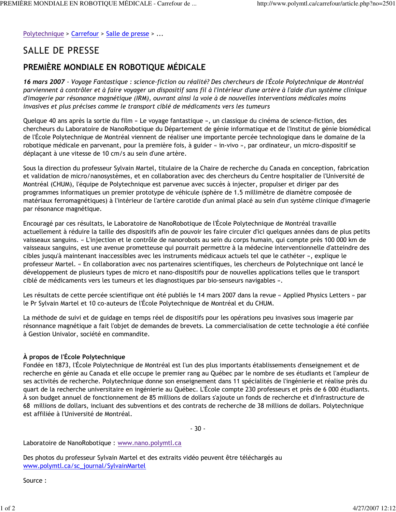Polytechnique > Carrefour > Salle de presse > ...

## **SALLE DE PRESSE**

## PREMIÈRE MONDIALE EN ROBOTIQUE MÉDICALE

16 mars 2007 - Voyage Fantastique : science-fiction ou réalité? Des chercheurs de l'École Polytechnique de Montréal parviennent à contrôler et à faire voyager un dispositif sans fil à l'intérieur d'une artère à l'aide d'un système clinique d'imagerie par résonance magnétique (IRM), ouvrant ainsi la voie à de nouvelles interventions médicales moins invasives et plus précises comme le transport ciblé de médicaments vers les tumeurs

Quelque 40 ans après la sortie du film « Le voyage fantastique », un classique du cinéma de science-fiction, des chercheurs du Laboratoire de NanoRobotique du Département de génie informatique et de l'Institut de génie biomédical de l'École Polytechnique de Montréal viennent de réaliser une importante percée technologique dans le domaine de la robotique médicale en parvenant, pour la première fois, à guider « in-vivo », par ordinateur, un micro-dispositif se déplacant à une vitesse de 10 cm/s au sein d'une artère.

Sous la direction du professeur Sylvain Martel, titulaire de la Chaire de recherche du Canada en conception, fabrication et validation de micro/nanosystèmes, et en collaboration avec des chercheurs du Centre hospitalier de l'Université de Montréal (CHUM), l'équipe de Polytechnique est parvenue avec succès à injecter, propulser et diriger par des programmes informatiques un premier prototype de véhicule (sphère de 1.5 millimètre de diamètre composée de matériaux ferromagnétiques) à l'intérieur de l'artère carotide d'un animal placé au sein d'un système clinique d'imagerie par résonance magnétique.

Encouragé par ces résultats, le Laboratoire de NanoRobotique de l'École Polytechnique de Montréal travaille actuellement à réduire la taille des dispositifs afin de pouvoir les faire circuler d'ici quelques années dans de plus petits vaisseaux sanguins. « L'injection et le contrôle de nanorobots au sein du corps humain, qui compte près 100 000 km de vaisseaux sanguins, est une avenue prometteuse qui pourrait permettre à la médecine interventionnelle d'atteindre des cibles jusqu'à maintenant inaccessibles avec les instruments médicaux actuels tel que le cathéter », explique le professeur Martel. « En collaboration avec nos partenaires scientifiques, les chercheurs de Polytechnique ont lancé le développement de plusieurs types de micro et nano-dispositifs pour de nouvelles applications telles que le transport ciblé de médicaments vers les tumeurs et les diagnostiques par bio-senseurs navigables ».

Les résultats de cette percée scientifique ont été publiés le 14 mars 2007 dans la revue « Applied Physics Letters » par le Pr Sylvain Martel et 10 co-auteurs de l'École Polytechnique de Montréal et du CHUM.

La méthode de suivi et de guidage en temps réel de dispositifs pour les opérations peu invasives sous imagerie par résonnance magnétique a fait l'objet de demandes de brevets. La commercialisation de cette technologie a été confiée à Gestion Univalor, société en commandite.

## À propos de l'École Polytechnique

Fondée en 1873, l'École Polytechnique de Montréal est l'un des plus importants établissements d'enseignement et de recherche en génie au Canada et elle occupe le premier rang au Québec par le nombre de ses étudiants et l'ampleur de ses activités de recherche. Polytechnique donne son enseignement dans 11 spécialités de l'ingénierie et réalise près du quart de la recherche universitaire en ingénierie au Québec. L'École compte 230 professeurs et près de 6 000 étudiants. À son budget annuel de fonctionnement de 85 millions de dollars s'ajoute un fonds de recherche et d'infrastructure de 68 millions de dollars, incluant des subventions et des contrats de recherche de 38 millions de dollars. Polytechnique est affiliée à l'Université de Montréal.

 $-30-$ 

Laboratoire de NanoRobotique : www.nano.polymtl.ca

Des photos du professeur Sylvain Martel et des extraits vidéo peuvent être téléchargés au www.polymtl.ca/sc\_journal/SylvainMartel

Source: